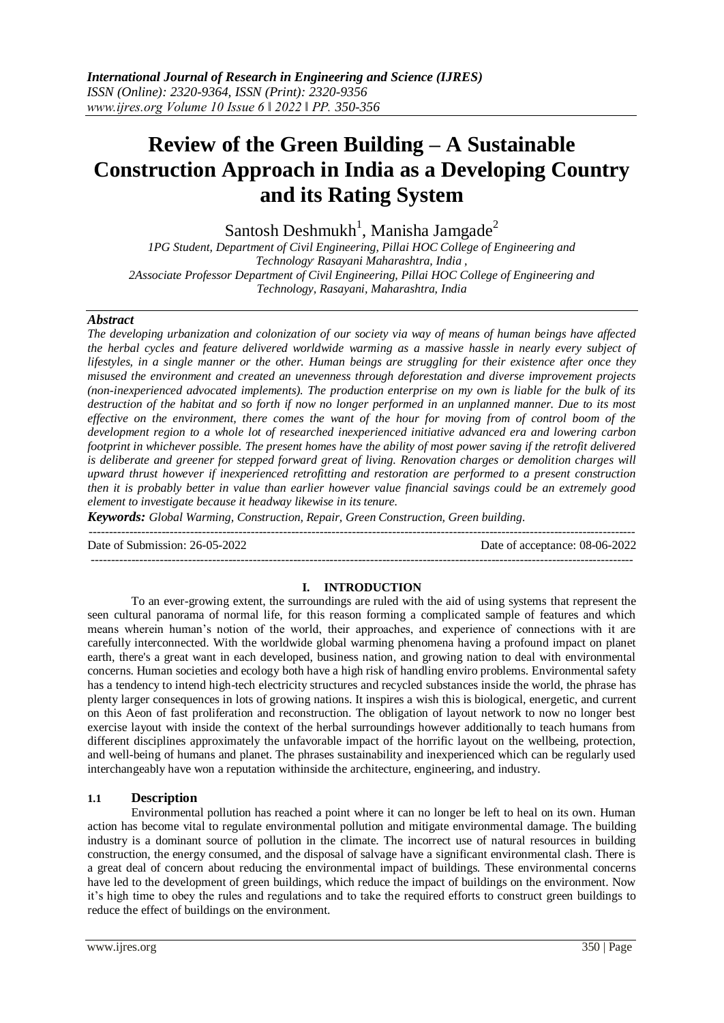# **Review of the Green Building – A Sustainable Construction Approach in India as a Developing Country and its Rating System**

Santosh Deshmukh<sup>1</sup>, Manisha Jamgade<sup>2</sup>

*1PG Student, Department of Civil Engineering, Pillai HOC College of Engineering and Technology, Rasayani Maharashtra, India , 2Associate Professor Department of Civil Engineering, Pillai HOC College of Engineering and Technology, Rasayani, Maharashtra, India*

### *Abstract*

*The developing urbanization and colonization of our society via way of means of human beings have affected the herbal cycles and feature delivered worldwide warming as a massive hassle in nearly every subject of lifestyles, in a single manner or the other. Human beings are struggling for their existence after once they misused the environment and created an unevenness through deforestation and diverse improvement projects (non-inexperienced advocated implements). The production enterprise on my own is liable for the bulk of its destruction of the habitat and so forth if now no longer performed in an unplanned manner. Due to its most effective on the environment, there comes the want of the hour for moving from of control boom of the development region to a whole lot of researched inexperienced initiative advanced era and lowering carbon footprint in whichever possible. The present homes have the ability of most power saving if the retrofit delivered is deliberate and greener for stepped forward great of living. Renovation charges or demolition charges will upward thrust however if inexperienced retrofitting and restoration are performed to a present construction then it is probably better in value than earlier however value financial savings could be an extremely good element to investigate because it headway likewise in its tenure.*

*Keywords: Global Warming, Construction, Repair, Green Construction, Green building.*

Date of Submission: 26-05-2022 Date of acceptance: 08-06-2022

## --------------------------------------------------------------------------------------------------------------------------------------

### **I. INTRODUCTION**

---------------------------------------------------------------------------------------------------------------------------------------

To an ever-growing extent, the surroundings are ruled with the aid of using systems that represent the seen cultural panorama of normal life, for this reason forming a complicated sample of features and which means wherein human's notion of the world, their approaches, and experience of connections with it are carefully interconnected. With the worldwide global warming phenomena having a profound impact on planet earth, there's a great want in each developed, business nation, and growing nation to deal with environmental concerns. Human societies and ecology both have a high risk of handling enviro problems. Environmental safety has a tendency to intend high-tech electricity structures and recycled substances inside the world, the phrase has plenty larger consequences in lots of growing nations. It inspires a wish this is biological, energetic, and current on this Aeon of fast proliferation and reconstruction. The obligation of layout network to now no longer best exercise layout with inside the context of the herbal surroundings however additionally to teach humans from different disciplines approximately the unfavorable impact of the horrific layout on the wellbeing, protection, and well-being of humans and planet. The phrases sustainability and inexperienced which can be regularly used interchangeably have won a reputation withinside the architecture, engineering, and industry.

### **1.1 Description**

Environmental pollution has reached a point where it can no longer be left to heal on its own. Human action has become vital to regulate environmental pollution and mitigate environmental damage. The building industry is a dominant source of pollution in the climate. The incorrect use of natural resources in building construction, the energy consumed, and the disposal of salvage have a significant environmental clash. There is a great deal of concern about reducing the environmental impact of buildings. These environmental concerns have led to the development of green buildings, which reduce the impact of buildings on the environment. Now it's high time to obey the rules and regulations and to take the required efforts to construct green buildings to reduce the effect of buildings on the environment.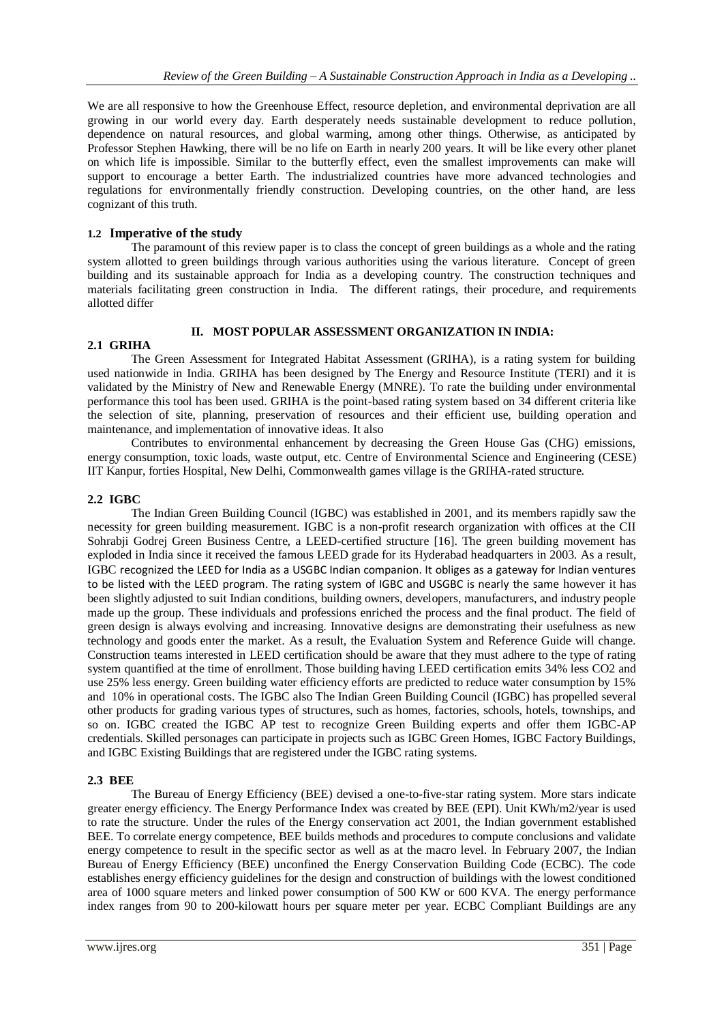We are all responsive to how the Greenhouse Effect, resource depletion, and environmental deprivation are all growing in our world every day. Earth desperately needs sustainable development to reduce pollution, dependence on natural resources, and global warming, among other things. Otherwise, as anticipated by Professor Stephen Hawking, there will be no life on Earth in nearly 200 years. It will be like every other planet on which life is impossible. Similar to the butterfly effect, even the smallest improvements can make will support to encourage a better Earth. The industrialized countries have more advanced technologies and regulations for environmentally friendly construction. Developing countries, on the other hand, are less cognizant of this truth.

## **1.2 Imperative of the study**

The paramount of this review paper is to class the concept of green buildings as a whole and the rating system allotted to green buildings through various authorities using the various literature. Concept of green building and its sustainable approach for India as a developing country. The construction techniques and materials facilitating green construction in India. The different ratings, their procedure, and requirements allotted differ

### **II. MOST POPULAR ASSESSMENT ORGANIZATION IN INDIA:**

## **2.1 GRIHA**

The Green Assessment for Integrated Habitat Assessment (GRIHA), is a rating system for building used nationwide in India. GRIHA has been designed by The Energy and Resource Institute (TERI) and it is validated by the Ministry of New and Renewable Energy (MNRE). To rate the building under environmental performance this tool has been used. GRIHA is the point-based rating system based on 34 different criteria like the selection of site, planning, preservation of resources and their efficient use, building operation and maintenance, and implementation of innovative ideas. It also

Contributes to environmental enhancement by decreasing the Green House Gas (CHG) emissions, energy consumption, toxic loads, waste output, etc. Centre of Environmental Science and Engineering (CESE) IIT Kanpur, forties Hospital, New Delhi, Commonwealth games village is the GRIHA-rated structure.

## **2.2 IGBC**

The Indian Green Building Council (IGBC) was established in 2001, and its members rapidly saw the necessity for green building measurement. IGBC is a non-profit research organization with offices at the CII Sohrabii Godrej Green Business Centre, a LEED-certified structure [16]. The green building movement has exploded in India since it received the famous LEED grade for its Hyderabad headquarters in 2003. As a result, IGBC recognized the LEED for India as a USGBC Indian companion. It obliges as a gateway for Indian ventures to be listed with the LEED program. The rating system of IGBC and USGBC is nearly the same however it has been slightly adjusted to suit Indian conditions, building owners, developers, manufacturers, and industry people made up the group. These individuals and professions enriched the process and the final product. The field of green design is always evolving and increasing. Innovative designs are demonstrating their usefulness as new technology and goods enter the market. As a result, the Evaluation System and Reference Guide will change. Construction teams interested in LEED certification should be aware that they must adhere to the type of rating system quantified at the time of enrollment. Those building having LEED certification emits 34% less CO2 and use 25% less energy. Green building water efficiency efforts are predicted to reduce water consumption by 15% and 10% in operational costs. The IGBC also The Indian Green Building Council (IGBC) has propelled several other products for grading various types of structures, such as homes, factories, schools, hotels, townships, and so on. IGBC created the IGBC AP test to recognize Green Building experts and offer them IGBC-AP credentials. Skilled personages can participate in projects such as IGBC Green Homes, IGBC Factory Buildings, and IGBC Existing Buildings that are registered under the IGBC rating systems.

### **2.3 BEE**

The Bureau of Energy Efficiency (BEE) devised a one-to-five-star rating system. More stars indicate greater energy efficiency. The Energy Performance Index was created by BEE (EPI). Unit KWh/m2/year is used to rate the structure. Under the rules of the Energy conservation act 2001, the Indian government established BEE. To correlate energy competence, BEE builds methods and procedures to compute conclusions and validate energy competence to result in the specific sector as well as at the macro level. In February 2007, the Indian Bureau of Energy Efficiency (BEE) unconfined the Energy Conservation Building Code (ECBC). The code establishes energy efficiency guidelines for the design and construction of buildings with the lowest conditioned area of 1000 square meters and linked power consumption of 500 KW or 600 KVA. The energy performance index ranges from 90 to 200-kilowatt hours per square meter per year. ECBC Compliant Buildings are any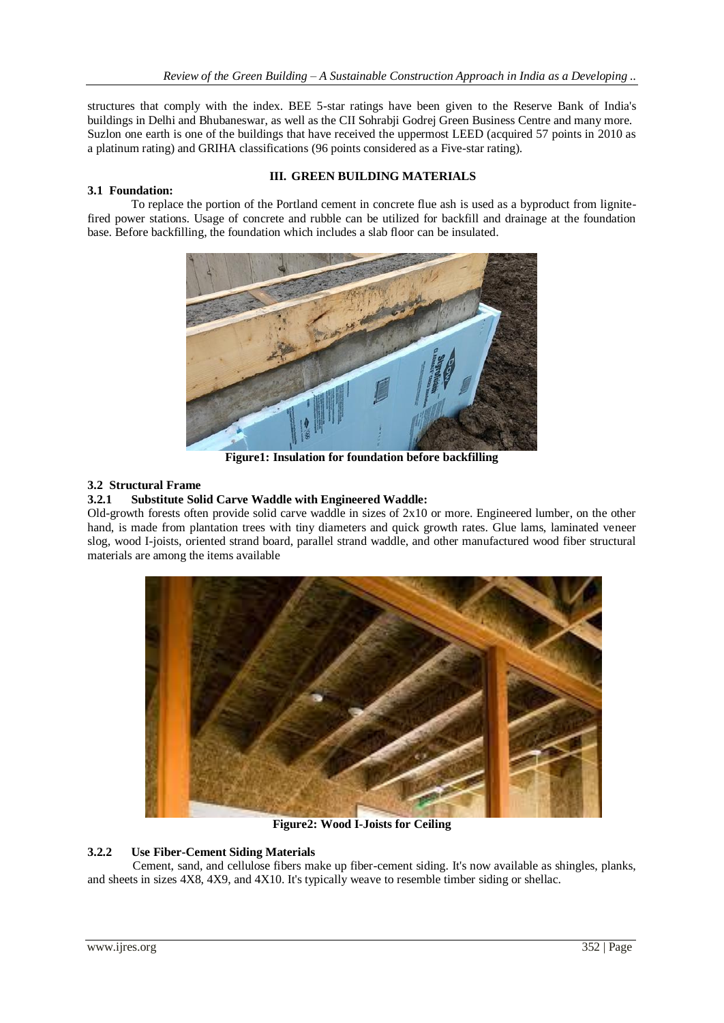structures that comply with the index. BEE 5-star ratings have been given to the Reserve Bank of India's buildings in Delhi and Bhubaneswar, as well as the CII Sohrabji Godrej Green Business Centre and many more. Suzlon one earth is one of the buildings that have received the uppermost LEED (acquired 57 points in 2010 as a platinum rating) and GRIHA classifications (96 points considered as a Five-star rating).

## **III. GREEN BUILDING MATERIALS**

## **3.1 Foundation:**

To replace the portion of the Portland cement in concrete flue ash is used as a byproduct from lignitefired power stations. Usage of concrete and rubble can be utilized for backfill and drainage at the foundation base. Before backfilling, the foundation which includes a slab floor can be insulated.



**Figure1: Insulation for foundation before backfilling**

## **3.2 Structural Frame**

## **3.2.1 Substitute Solid Carve Waddle with Engineered Waddle:**

Old-growth forests often provide solid carve waddle in sizes of 2x10 or more. Engineered lumber, on the other hand, is made from plantation trees with tiny diameters and quick growth rates. Glue lams, laminated veneer slog, wood I-joists, oriented strand board, parallel strand waddle, and other manufactured wood fiber structural materials are among the items available



**Figure2: Wood I-Joists for Ceiling**

## **3.2.2 Use Fiber-Cement Siding Materials**

 Cement, sand, and cellulose fibers make up fiber-cement siding. It's now available as shingles, planks, and sheets in sizes 4X8, 4X9, and 4X10. It's typically weave to resemble timber siding or shellac.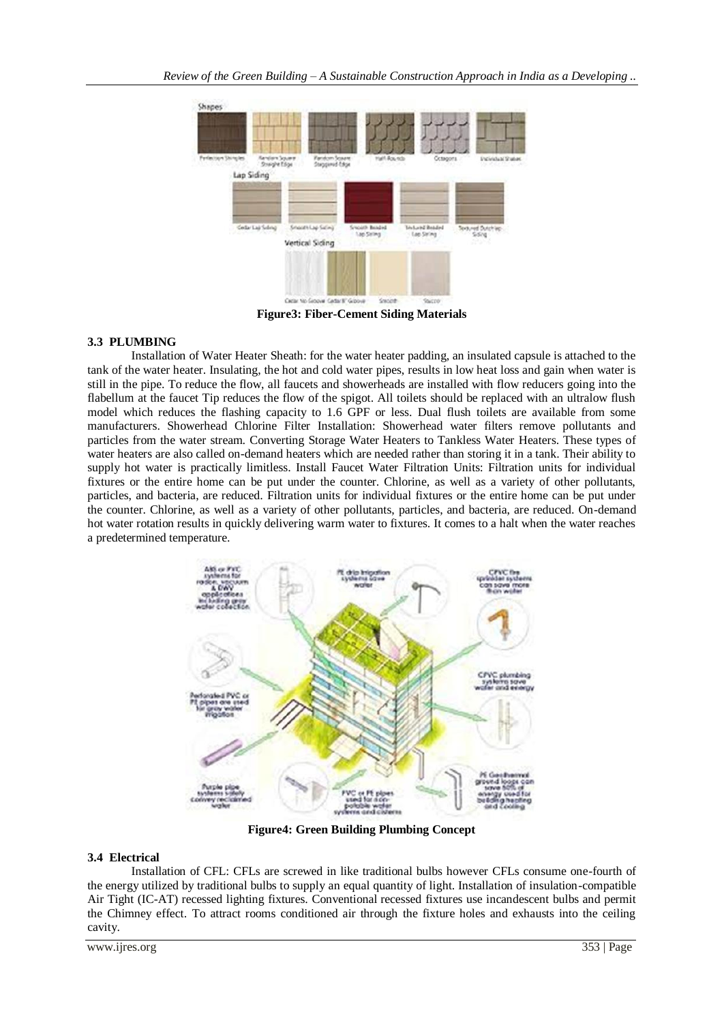

**Figure3: Fiber-Cement Siding Materials**

## **3.3 PLUMBING**

Installation of Water Heater Sheath: for the water heater padding, an insulated capsule is attached to the tank of the water heater. Insulating, the hot and cold water pipes, results in low heat loss and gain when water is still in the pipe. To reduce the flow, all faucets and showerheads are installed with flow reducers going into the flabellum at the faucet Tip reduces the flow of the spigot. All toilets should be replaced with an ultralow flush model which reduces the flashing capacity to 1.6 GPF or less. Dual flush toilets are available from some manufacturers. Showerhead Chlorine Filter Installation: Showerhead water filters remove pollutants and particles from the water stream. Converting Storage Water Heaters to Tankless Water Heaters. These types of water heaters are also called on-demand heaters which are needed rather than storing it in a tank. Their ability to supply hot water is practically limitless. Install Faucet Water Filtration Units: Filtration units for individual fixtures or the entire home can be put under the counter. Chlorine, as well as a variety of other pollutants, particles, and bacteria, are reduced. Filtration units for individual fixtures or the entire home can be put under the counter. Chlorine, as well as a variety of other pollutants, particles, and bacteria, are reduced. On-demand hot water rotation results in quickly delivering warm water to fixtures. It comes to a halt when the water reaches a predetermined temperature.



**Figure4: Green Building Plumbing Concept**

### **3.4 Electrical**

Installation of CFL: CFLs are screwed in like traditional bulbs however CFLs consume one-fourth of the energy utilized by traditional bulbs to supply an equal quantity of light. Installation of insulation-compatible Air Tight (IC-AT) recessed lighting fixtures. Conventional recessed fixtures use incandescent bulbs and permit the Chimney effect. To attract rooms conditioned air through the fixture holes and exhausts into the ceiling cavity.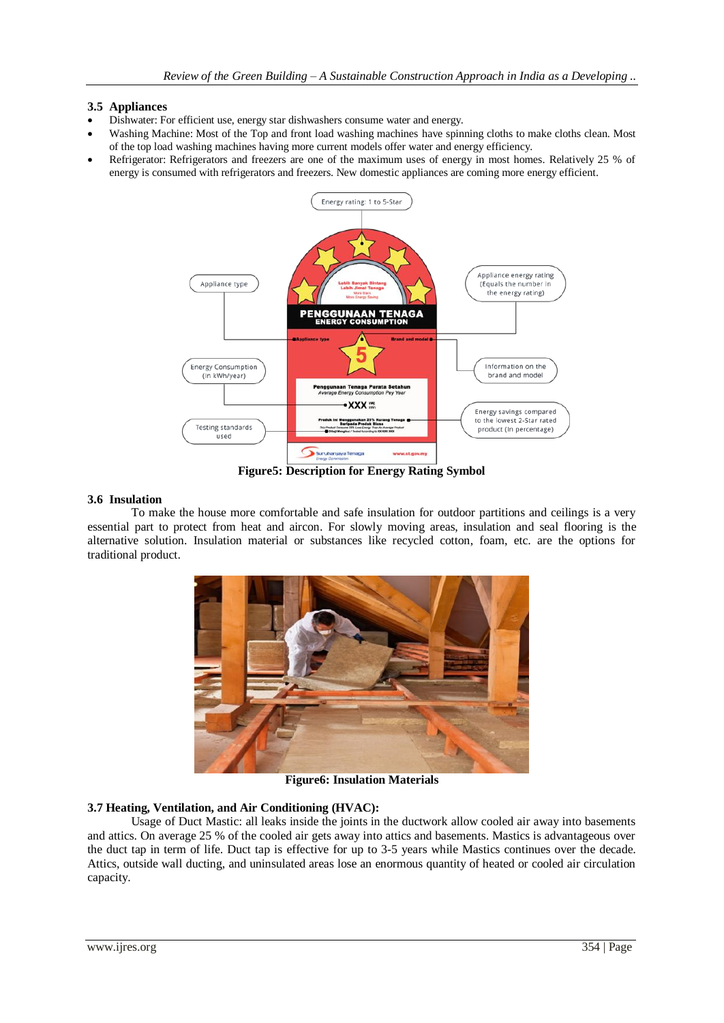### **3.5 Appliances**

- Dishwater: For efficient use, energy star dishwashers consume water and energy.
- Washing Machine: Most of the Top and front load washing machines have spinning cloths to make cloths clean. Most of the top load washing machines having more current models offer water and energy efficiency.
- Refrigerator: Refrigerators and freezers are one of the maximum uses of energy in most homes. Relatively 25 % of energy is consumed with refrigerators and freezers. New domestic appliances are coming more energy efficient.



**Figure5: Description for Energy Rating Symbol**

## **3.6 Insulation**

To make the house more comfortable and safe insulation for outdoor partitions and ceilings is a very essential part to protect from heat and aircon. For slowly moving areas, insulation and seal flooring is the alternative solution. Insulation material or substances like recycled cotton, foam, etc. are the options for traditional product.



**Figure6: Insulation Materials**

### **3.7 Heating, Ventilation, and Air Conditioning (HVAC):**

Usage of Duct Mastic: all leaks inside the joints in the ductwork allow cooled air away into basements and attics. On average 25 % of the cooled air gets away into attics and basements. Mastics is advantageous over the duct tap in term of life. Duct tap is effective for up to 3-5 years while Mastics continues over the decade. Attics, outside wall ducting, and uninsulated areas lose an enormous quantity of heated or cooled air circulation capacity.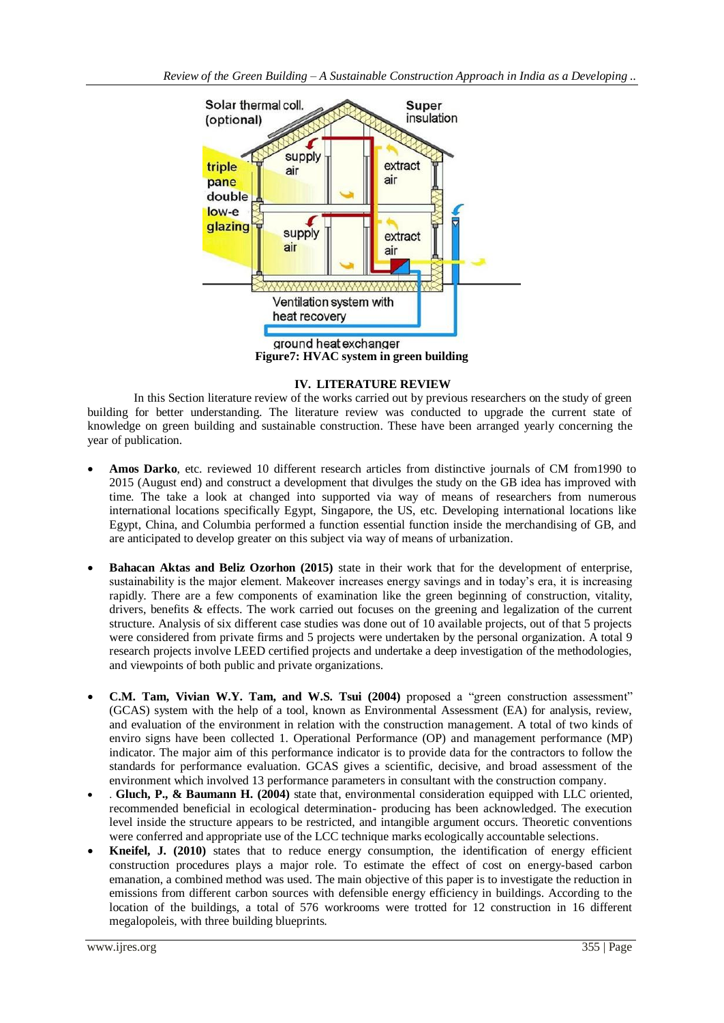

**Figure7: HVAC system in green building**

## **IV. LITERATURE REVIEW**

In this Section literature review of the works carried out by previous researchers on the study of green building for better understanding. The literature review was conducted to upgrade the current state of knowledge on green building and sustainable construction. These have been arranged yearly concerning the year of publication.

- **Amos Darko**, etc. reviewed 10 different research articles from distinctive journals of CM from1990 to 2015 (August end) and construct a development that divulges the study on the GB idea has improved with time. The take a look at changed into supported via way of means of researchers from numerous international locations specifically Egypt, Singapore, the US, etc. Developing international locations like Egypt, China, and Columbia performed a function essential function inside the merchandising of GB, and are anticipated to develop greater on this subject via way of means of urbanization.
- **Bahacan Aktas and Beliz Ozorhon (2015)** state in their work that for the development of enterprise, sustainability is the major element. Makeover increases energy savings and in today's era, it is increasing rapidly. There are a few components of examination like the green beginning of construction, vitality, drivers, benefits & effects. The work carried out focuses on the greening and legalization of the current structure. Analysis of six different case studies was done out of 10 available projects, out of that 5 projects were considered from private firms and 5 projects were undertaken by the personal organization. A total 9 research projects involve LEED certified projects and undertake a deep investigation of the methodologies, and viewpoints of both public and private organizations.
- **C.M. Tam, Vivian W.Y. Tam, and W.S. Tsui (2004)** proposed a "green construction assessment" (GCAS) system with the help of a tool, known as Environmental Assessment (EA) for analysis, review, and evaluation of the environment in relation with the construction management. A total of two kinds of enviro signs have been collected 1. Operational Performance (OP) and management performance (MP) indicator. The major aim of this performance indicator is to provide data for the contractors to follow the standards for performance evaluation. GCAS gives a scientific, decisive, and broad assessment of the environment which involved 13 performance parameters in consultant with the construction company.
- . **Gluch, P., & Baumann H. (2004)** state that, environmental consideration equipped with LLC oriented, recommended beneficial in ecological determination- producing has been acknowledged. The execution level inside the structure appears to be restricted, and intangible argument occurs. Theoretic conventions were conferred and appropriate use of the LCC technique marks ecologically accountable selections.
- **Kneifel, J. (2010)** states that to reduce energy consumption, the identification of energy efficient construction procedures plays a major role. To estimate the effect of cost on energy-based carbon emanation, a combined method was used. The main objective of this paper is to investigate the reduction in emissions from different carbon sources with defensible energy efficiency in buildings. According to the location of the buildings, a total of 576 workrooms were trotted for 12 construction in 16 different megalopoleis, with three building blueprints.